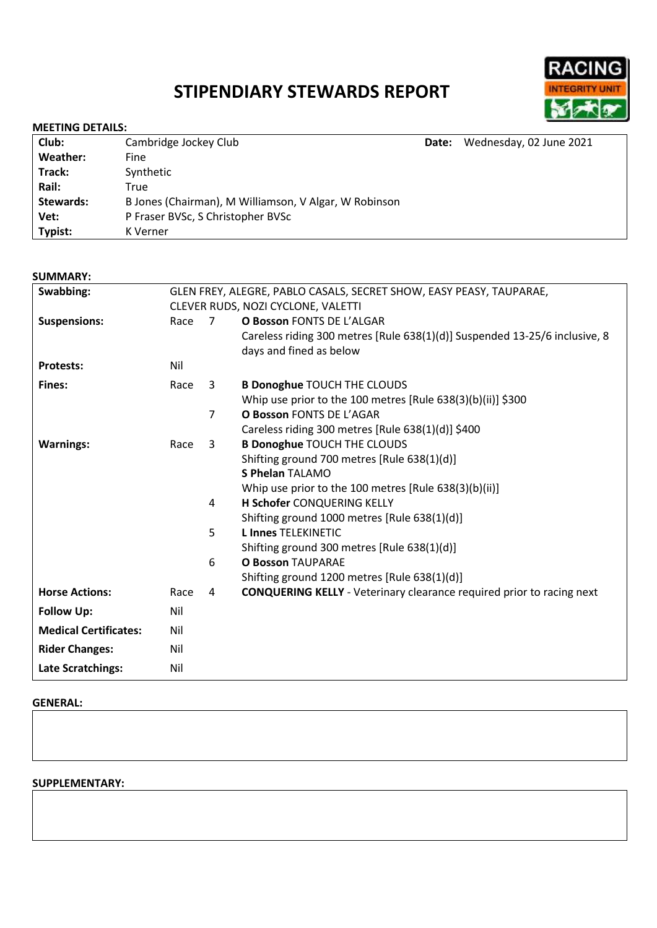# **STIPENDIARY STEWARDS REPORT**



#### **MEETING DETAILS:**

| Club:     | Cambridge Jockey Club                                 | Date: | Wednesday, 02 June 2021 |
|-----------|-------------------------------------------------------|-------|-------------------------|
| Weather:  | Fine                                                  |       |                         |
| Track:    | Synthetic                                             |       |                         |
| Rail:     | True                                                  |       |                         |
| Stewards: | B Jones (Chairman), M Williamson, V Algar, W Robinson |       |                         |
| Vet:      | P Fraser BVSc, S Christopher BVSc                     |       |                         |
| Typist:   | K Verner                                              |       |                         |

#### **SUMMARY:**

| Swabbing:                    | GLEN FREY, ALEGRE, PABLO CASALS, SECRET SHOW, EASY PEASY, TAUPARAE, |                                    |                                                                              |  |
|------------------------------|---------------------------------------------------------------------|------------------------------------|------------------------------------------------------------------------------|--|
|                              |                                                                     | CLEVER RUDS, NOZI CYCLONE, VALETTI |                                                                              |  |
| <b>Suspensions:</b>          | Race                                                                | 7                                  | O Bosson FONTS DE L'ALGAR                                                    |  |
|                              |                                                                     |                                    | Careless riding 300 metres [Rule 638(1)(d)] Suspended 13-25/6 inclusive, 8   |  |
|                              |                                                                     |                                    | days and fined as below                                                      |  |
| <b>Protests:</b>             | Nil                                                                 |                                    |                                                                              |  |
| <b>Fines:</b>                | Race                                                                | $\mathbf{3}$                       | <b>B Donoghue TOUCH THE CLOUDS</b>                                           |  |
|                              |                                                                     |                                    | Whip use prior to the 100 metres [Rule $638(3)(b)(ii)$ ] \$300               |  |
|                              |                                                                     | $\overline{7}$                     | <b>O Bosson FONTS DE L'AGAR</b>                                              |  |
|                              |                                                                     |                                    | Careless riding 300 metres [Rule $638(1)(d)$ ] \$400                         |  |
| <b>Warnings:</b>             | Race                                                                | 3                                  | <b>B Donoghue TOUCH THE CLOUDS</b>                                           |  |
|                              |                                                                     |                                    | Shifting ground 700 metres [Rule 638(1)(d)]                                  |  |
|                              |                                                                     |                                    | <b>S Phelan TALAMO</b>                                                       |  |
|                              |                                                                     |                                    | Whip use prior to the 100 metres [Rule 638(3)(b)(ii)]                        |  |
|                              |                                                                     | 4                                  | <b>H Schofer CONQUERING KELLY</b>                                            |  |
|                              |                                                                     |                                    | Shifting ground 1000 metres [Rule 638(1)(d)]                                 |  |
|                              |                                                                     | 5                                  | <b>L Innes TELEKINETIC</b>                                                   |  |
|                              |                                                                     |                                    | Shifting ground 300 metres [Rule 638(1)(d)]                                  |  |
|                              |                                                                     | 6                                  | <b>O Bosson TAUPARAE</b>                                                     |  |
|                              |                                                                     |                                    | Shifting ground 1200 metres [Rule 638(1)(d)]                                 |  |
| <b>Horse Actions:</b>        | Race                                                                | 4                                  | <b>CONQUERING KELLY</b> - Veterinary clearance required prior to racing next |  |
| <b>Follow Up:</b>            | Nil                                                                 |                                    |                                                                              |  |
| <b>Medical Certificates:</b> | Nil                                                                 |                                    |                                                                              |  |
| <b>Rider Changes:</b>        | Nil                                                                 |                                    |                                                                              |  |
| <b>Late Scratchings:</b>     | Nil                                                                 |                                    |                                                                              |  |

#### **GENERAL:**

## **SUPPLEMENTARY:**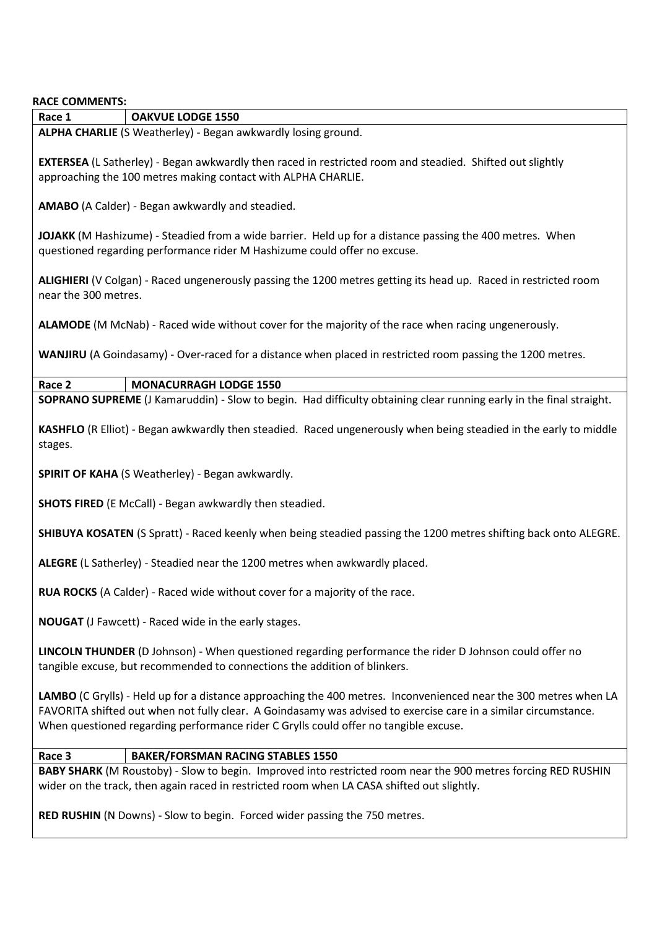| <b>RACE COMMENTS:</b>                                                                                                                                                                                                                                                                                                       |  |  |  |  |
|-----------------------------------------------------------------------------------------------------------------------------------------------------------------------------------------------------------------------------------------------------------------------------------------------------------------------------|--|--|--|--|
| Race 1<br><b>OAKVUE LODGE 1550</b>                                                                                                                                                                                                                                                                                          |  |  |  |  |
| ALPHA CHARLIE (S Weatherley) - Began awkwardly losing ground.                                                                                                                                                                                                                                                               |  |  |  |  |
| <b>EXTERSEA</b> (L Satherley) - Began awkwardly then raced in restricted room and steadied. Shifted out slightly<br>approaching the 100 metres making contact with ALPHA CHARLIE.                                                                                                                                           |  |  |  |  |
| AMABO (A Calder) - Began awkwardly and steadied.                                                                                                                                                                                                                                                                            |  |  |  |  |
| JOJAKK (M Hashizume) - Steadied from a wide barrier. Held up for a distance passing the 400 metres. When<br>questioned regarding performance rider M Hashizume could offer no excuse.                                                                                                                                       |  |  |  |  |
| ALIGHIERI (V Colgan) - Raced ungenerously passing the 1200 metres getting its head up. Raced in restricted room<br>near the 300 metres.                                                                                                                                                                                     |  |  |  |  |
| ALAMODE (M McNab) - Raced wide without cover for the majority of the race when racing ungenerously.                                                                                                                                                                                                                         |  |  |  |  |
| WANJIRU (A Goindasamy) - Over-raced for a distance when placed in restricted room passing the 1200 metres.                                                                                                                                                                                                                  |  |  |  |  |
| Race 2<br><b>MONACURRAGH LODGE 1550</b>                                                                                                                                                                                                                                                                                     |  |  |  |  |
| SOPRANO SUPREME (J Kamaruddin) - Slow to begin. Had difficulty obtaining clear running early in the final straight.                                                                                                                                                                                                         |  |  |  |  |
| KASHFLO (R Elliot) - Began awkwardly then steadied. Raced ungenerously when being steadied in the early to middle<br>stages.                                                                                                                                                                                                |  |  |  |  |
| <b>SPIRIT OF KAHA (S Weatherley) - Began awkwardly.</b>                                                                                                                                                                                                                                                                     |  |  |  |  |
| <b>SHOTS FIRED</b> (E McCall) - Began awkwardly then steadied.                                                                                                                                                                                                                                                              |  |  |  |  |
| SHIBUYA KOSATEN (S Spratt) - Raced keenly when being steadied passing the 1200 metres shifting back onto ALEGRE.                                                                                                                                                                                                            |  |  |  |  |
| ALEGRE (L Satherley) - Steadied near the 1200 metres when awkwardly placed.                                                                                                                                                                                                                                                 |  |  |  |  |
| RUA ROCKS (A Calder) - Raced wide without cover for a majority of the race.                                                                                                                                                                                                                                                 |  |  |  |  |
| <b>NOUGAT</b> (J Fawcett) - Raced wide in the early stages.                                                                                                                                                                                                                                                                 |  |  |  |  |
| LINCOLN THUNDER (D Johnson) - When questioned regarding performance the rider D Johnson could offer no<br>tangible excuse, but recommended to connections the addition of blinkers.                                                                                                                                         |  |  |  |  |
| LAMBO (C Grylls) - Held up for a distance approaching the 400 metres. Inconvenienced near the 300 metres when LA<br>FAVORITA shifted out when not fully clear. A Goindasamy was advised to exercise care in a similar circumstance.<br>When questioned regarding performance rider C Grylls could offer no tangible excuse. |  |  |  |  |
| Race 3<br><b>BAKER/FORSMAN RACING STABLES 1550</b>                                                                                                                                                                                                                                                                          |  |  |  |  |
| BABY SHARK (M Roustoby) - Slow to begin. Improved into restricted room near the 900 metres forcing RED RUSHIN<br>wider on the track, then again raced in restricted room when LA CASA shifted out slightly.                                                                                                                 |  |  |  |  |
| RED RUSHIN (N Downs) - Slow to begin. Forced wider passing the 750 metres.                                                                                                                                                                                                                                                  |  |  |  |  |
|                                                                                                                                                                                                                                                                                                                             |  |  |  |  |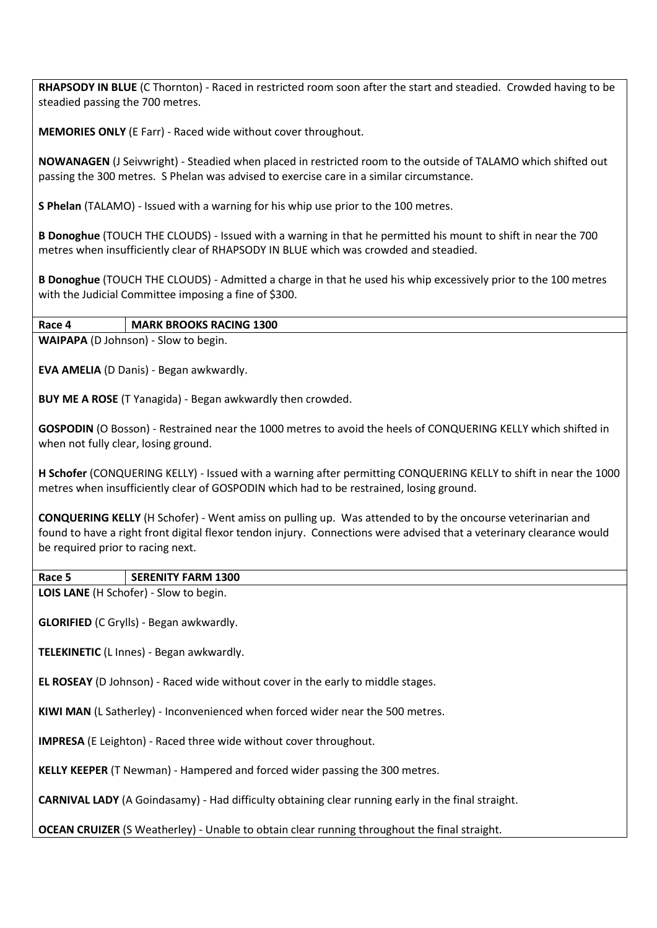**RHAPSODY IN BLUE** (C Thornton) - Raced in restricted room soon after the start and steadied. Crowded having to be steadied passing the 700 metres.

**MEMORIES ONLY** (E Farr) - Raced wide without cover throughout.

**NOWANAGEN** (J Seivwright) - Steadied when placed in restricted room to the outside of TALAMO which shifted out passing the 300 metres. S Phelan was advised to exercise care in a similar circumstance.

**S Phelan** (TALAMO) - Issued with a warning for his whip use prior to the 100 metres.

**B Donoghue** (TOUCH THE CLOUDS) - Issued with a warning in that he permitted his mount to shift in near the 700 metres when insufficiently clear of RHAPSODY IN BLUE which was crowded and steadied.

**B Donoghue** (TOUCH THE CLOUDS) - Admitted a charge in that he used his whip excessively prior to the 100 metres with the Judicial Committee imposing a fine of \$300.

# **Race 4 MARK BROOKS RACING 1300**

**WAIPAPA** (D Johnson) - Slow to begin.

**EVA AMELIA** (D Danis) - Began awkwardly.

**BUY ME A ROSE** (T Yanagida) - Began awkwardly then crowded.

**GOSPODIN** (O Bosson) - Restrained near the 1000 metres to avoid the heels of CONQUERING KELLY which shifted in when not fully clear, losing ground.

**H Schofer** (CONQUERING KELLY) - Issued with a warning after permitting CONQUERING KELLY to shift in near the 1000 metres when insufficiently clear of GOSPODIN which had to be restrained, losing ground.

**CONQUERING KELLY** (H Schofer) - Went amiss on pulling up. Was attended to by the oncourse veterinarian and found to have a right front digital flexor tendon injury. Connections were advised that a veterinary clearance would be required prior to racing next.

### **Race 5 SERENITY FARM 1300**

**LOIS LANE** (H Schofer) - Slow to begin.

**GLORIFIED** (C Grylls) - Began awkwardly.

**TELEKINETIC** (L Innes) - Began awkwardly.

**EL ROSEAY** (D Johnson) - Raced wide without cover in the early to middle stages.

**KIWI MAN** (L Satherley) - Inconvenienced when forced wider near the 500 metres.

**IMPRESA** (E Leighton) - Raced three wide without cover throughout.

**KELLY KEEPER** (T Newman) - Hampered and forced wider passing the 300 metres.

**CARNIVAL LADY** (A Goindasamy) - Had difficulty obtaining clear running early in the final straight.

**OCEAN CRUIZER** (S Weatherley) - Unable to obtain clear running throughout the final straight.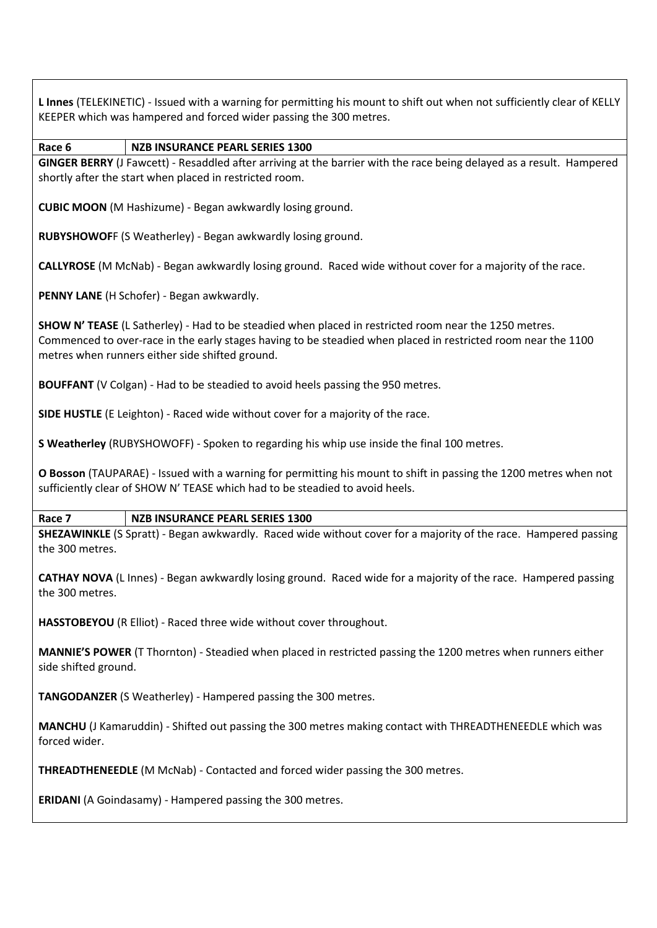**L Innes** (TELEKINETIC) - Issued with a warning for permitting his mount to shift out when not sufficiently clear of KELLY KEEPER which was hampered and forced wider passing the 300 metres.

## **Race 6 NZB INSURANCE PEARL SERIES 1300**

**GINGER BERRY** (J Fawcett) - Resaddled after arriving at the barrier with the race being delayed as a result. Hampered shortly after the start when placed in restricted room.

**CUBIC MOON** (M Hashizume) - Began awkwardly losing ground.

**RUBYSHOWOF**F (S Weatherley) - Began awkwardly losing ground.

**CALLYROSE** (M McNab) - Began awkwardly losing ground. Raced wide without cover for a majority of the race.

**PENNY LANE** (H Schofer) - Began awkwardly.

**SHOW N' TEASE** (L Satherley) - Had to be steadied when placed in restricted room near the 1250 metres. Commenced to over-race in the early stages having to be steadied when placed in restricted room near the 1100 metres when runners either side shifted ground.

**BOUFFANT** (V Colgan) - Had to be steadied to avoid heels passing the 950 metres.

**SIDE HUSTLE** (E Leighton) - Raced wide without cover for a majority of the race.

**S Weatherley** (RUBYSHOWOFF) - Spoken to regarding his whip use inside the final 100 metres.

**O Bosson** (TAUPARAE) - Issued with a warning for permitting his mount to shift in passing the 1200 metres when not sufficiently clear of SHOW N' TEASE which had to be steadied to avoid heels.

# **Race 7 NZB INSURANCE PEARL SERIES 1300**

**SHEZAWINKLE** (S Spratt) - Began awkwardly. Raced wide without cover for a majority of the race. Hampered passing the 300 metres.

**CATHAY NOVA** (L Innes) - Began awkwardly losing ground. Raced wide for a majority of the race. Hampered passing the 300 metres.

**HASSTOBEYOU** (R Elliot) - Raced three wide without cover throughout.

**MANNIE'S POWER** (T Thornton) - Steadied when placed in restricted passing the 1200 metres when runners either side shifted ground.

**TANGODANZER** (S Weatherley) - Hampered passing the 300 metres.

**MANCHU** (J Kamaruddin) - Shifted out passing the 300 metres making contact with THREADTHENEEDLE which was forced wider.

**THREADTHENEEDLE** (M McNab) - Contacted and forced wider passing the 300 metres.

**ERIDANI** (A Goindasamy) - Hampered passing the 300 metres.